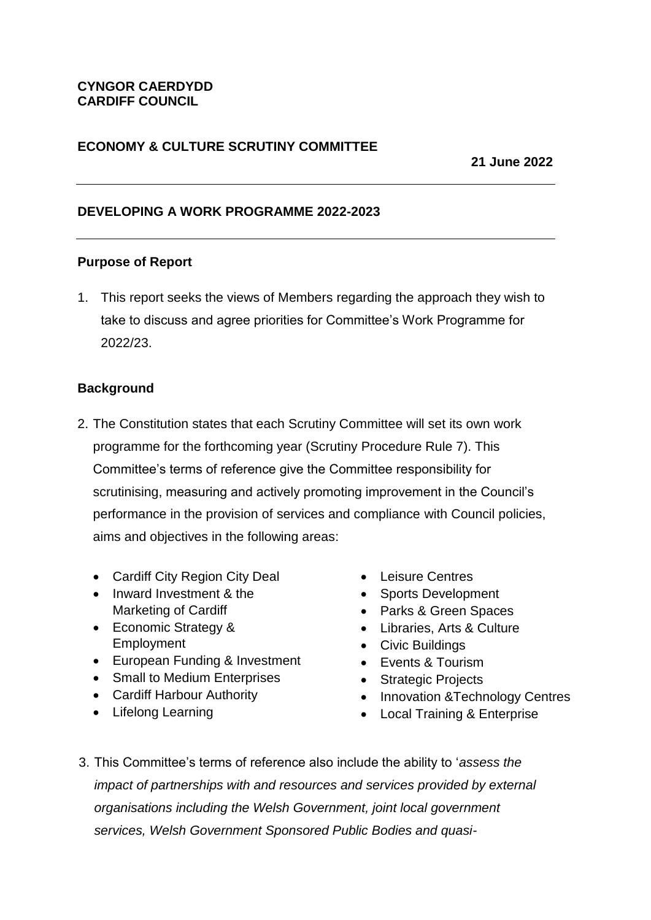## **CYNGOR CAERDYDD CARDIFF COUNCIL**

# **ECONOMY & CULTURE SCRUTINY COMMITTEE**

**21 June 2022**

## **DEVELOPING A WORK PROGRAMME 2022-2023**

## **Purpose of Report**

1. This report seeks the views of Members regarding the approach they wish to take to discuss and agree priorities for Committee's Work Programme for 2022/23.

## **Background**

- 2. The Constitution states that each Scrutiny Committee will set its own work programme for the forthcoming year (Scrutiny Procedure Rule 7). This Committee's terms of reference give the Committee responsibility for scrutinising, measuring and actively promoting improvement in the Council's performance in the provision of services and compliance with Council policies, aims and objectives in the following areas:
	- Cardiff City Region City Deal
	- Inward Investment & the Marketing of Cardiff
	- Economic Strategy & Employment
	- European Funding & Investment
	- Small to Medium Enterprises
	- Cardiff Harbour Authority
	- Lifelong Learning
- Leisure Centres
- Sports Development
- Parks & Green Spaces
- Libraries, Arts & Culture
- Civic Buildings
- Events & Tourism
- Strategic Projects
- Innovation & Technology Centres
- Local Training & Enterprise
- 3. This Committee's terms of reference also include the ability to '*assess the impact of partnerships with and resources and services provided by external organisations including the Welsh Government, joint local government services, Welsh Government Sponsored Public Bodies and quasi-*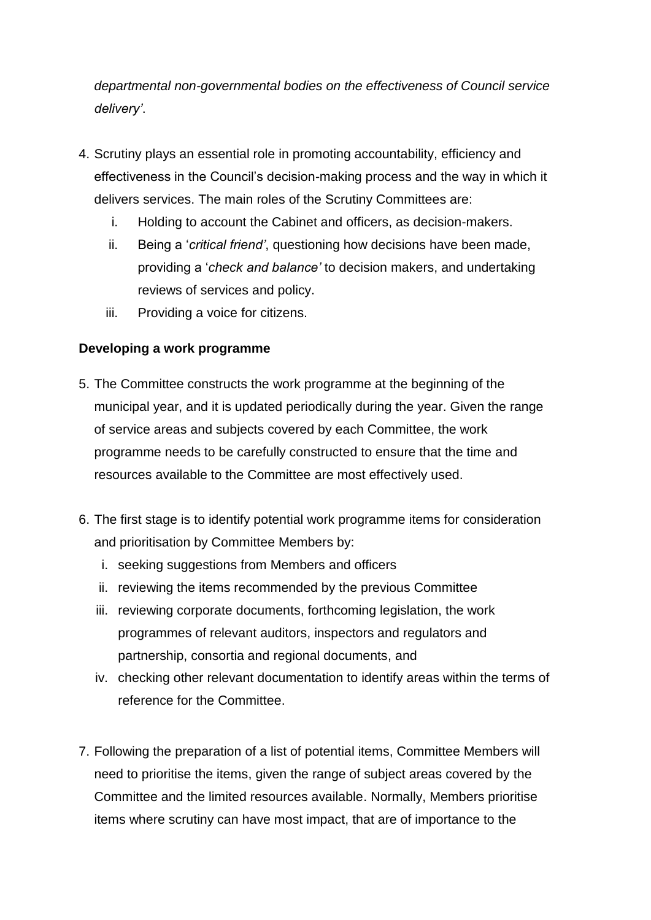*departmental non-governmental bodies on the effectiveness of Council service delivery'*.

- 4. Scrutiny plays an essential role in promoting accountability, efficiency and effectiveness in the Council's decision-making process and the way in which it delivers services. The main roles of the Scrutiny Committees are:
	- i. Holding to account the Cabinet and officers, as decision-makers.
	- ii. Being a '*critical friend'*, questioning how decisions have been made, providing a '*check and balance'* to decision makers, and undertaking reviews of services and policy.
	- iii. Providing a voice for citizens.

# **Developing a work programme**

- 5. The Committee constructs the work programme at the beginning of the municipal year, and it is updated periodically during the year. Given the range of service areas and subjects covered by each Committee, the work programme needs to be carefully constructed to ensure that the time and resources available to the Committee are most effectively used.
- 6. The first stage is to identify potential work programme items for consideration and prioritisation by Committee Members by:
	- i. seeking suggestions from Members and officers
	- ii. reviewing the items recommended by the previous Committee
	- iii. reviewing corporate documents, forthcoming legislation, the work programmes of relevant auditors, inspectors and regulators and partnership, consortia and regional documents, and
	- iv. checking other relevant documentation to identify areas within the terms of reference for the Committee.
- 7. Following the preparation of a list of potential items, Committee Members will need to prioritise the items, given the range of subject areas covered by the Committee and the limited resources available. Normally, Members prioritise items where scrutiny can have most impact, that are of importance to the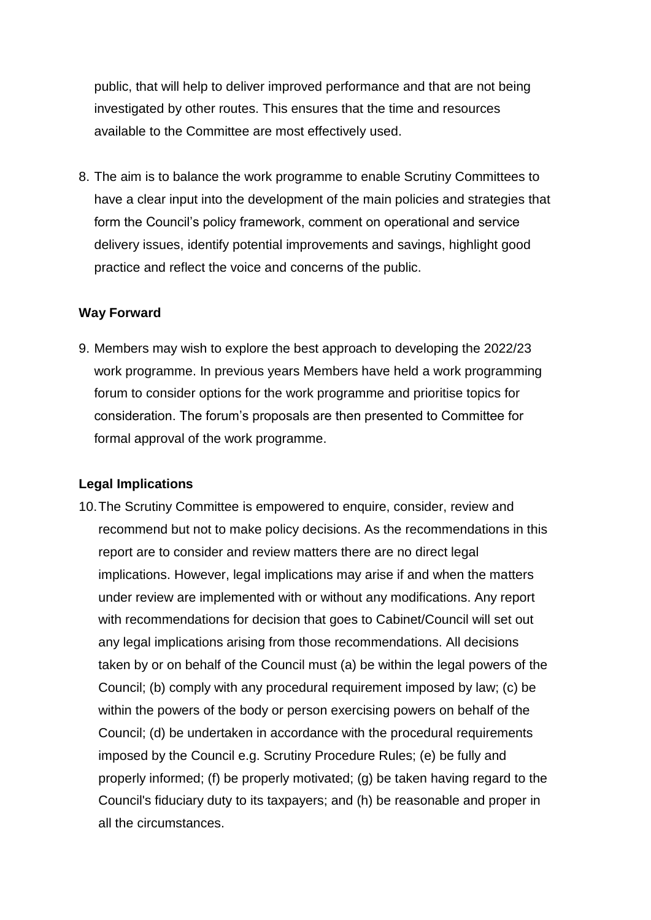public, that will help to deliver improved performance and that are not being investigated by other routes. This ensures that the time and resources available to the Committee are most effectively used.

8. The aim is to balance the work programme to enable Scrutiny Committees to have a clear input into the development of the main policies and strategies that form the Council's policy framework, comment on operational and service delivery issues, identify potential improvements and savings, highlight good practice and reflect the voice and concerns of the public.

#### **Way Forward**

9. Members may wish to explore the best approach to developing the 2022/23 work programme. In previous years Members have held a work programming forum to consider options for the work programme and prioritise topics for consideration. The forum's proposals are then presented to Committee for formal approval of the work programme.

#### **Legal Implications**

10.The Scrutiny Committee is empowered to enquire, consider, review and recommend but not to make policy decisions. As the recommendations in this report are to consider and review matters there are no direct legal implications. However, legal implications may arise if and when the matters under review are implemented with or without any modifications. Any report with recommendations for decision that goes to Cabinet/Council will set out any legal implications arising from those recommendations. All decisions taken by or on behalf of the Council must (a) be within the legal powers of the Council; (b) comply with any procedural requirement imposed by law; (c) be within the powers of the body or person exercising powers on behalf of the Council; (d) be undertaken in accordance with the procedural requirements imposed by the Council e.g. Scrutiny Procedure Rules; (e) be fully and properly informed; (f) be properly motivated; (g) be taken having regard to the Council's fiduciary duty to its taxpayers; and (h) be reasonable and proper in all the circumstances.